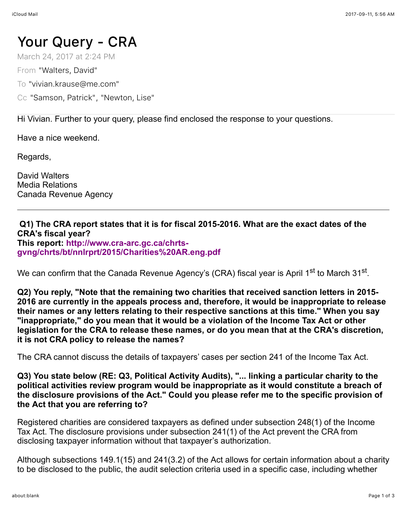## Your Query - CRA

March 24, 2017 at 2:24 PM

From "Walters, David"

To "vivian.krause@me.com"

Cc "Samson, Patrick", "Newton, Lise"

Hi Vivian. Further to your query, please find enclosed the response to your questions.

Have a nice weekend.

Regards,

David Walters Media Relations Canada Revenue Agency

## **Q1) The CRA report states that it is for fiscal 2015-2016. What are the exact dates of the CRA's fiscal year? This report: http://www.cra-arc.gc.ca/chrts[gvng/chrts/bt/nnlrprt/2015/Charities%20AR.eng.pdf](http://www.cra-arc.gc.ca/chrts-gvng/chrts/bt/nnlrprt/2015/Charities%20AR.eng.pdf)**

We can confirm that the Canada Revenue Agency's (CRA) fiscal year is April 1st to March 31st.

**Q2) You reply, "Note that the remaining two charities that received sanction letters in 2015- 2016 are currently in the appeals process and, therefore, it would be inappropriate to release their names or any letters relating to their respective sanctions at this time." When you say "inappropriate," do you mean that it would be a violation of the Income Tax Act or other legislation for the CRA to release these names, or do you mean that at the CRA's discretion, it is not CRA policy to release the names?**

The CRA cannot discuss the details of taxpayers' cases per section 241 of the Income Tax Act.

**Q3) You state below (RE: Q3, Political Activity Audits), "... linking a particular charity to the political activities review program would be inappropriate as it would constitute a breach of the disclosure provisions of the Act." Could you please refer me to the specific provision of the Act that you are referring to?**

Registered charities are considered taxpayers as defined under subsection 248(1) of the Income Tax Act. The disclosure provisions under subsection 241(1) of the Act prevent the CRA from disclosing taxpayer information without that taxpayer's authorization.

Although subsections 149.1(15) and 241(3.2) of the Act allows for certain information about a charity to be disclosed to the public, the audit selection criteria used in a specific case, including whether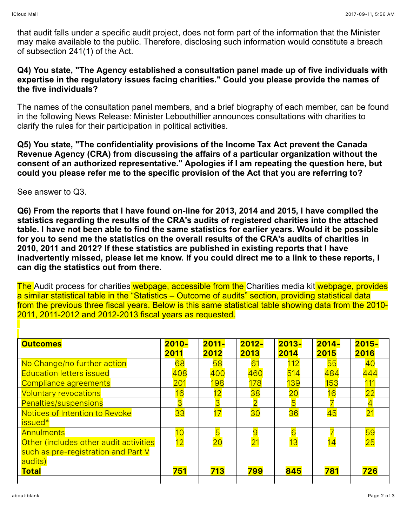that audit falls under a specific audit project, does not form part of the information that the Minister may make available to the public. Therefore, disclosing such information would constitute a breach of subsection 241(1) of the Act.

## **Q4) You state, "The Agency established a consultation panel made up of five individuals with expertise in the regulatory issues facing charities." Could you please provide the names of the five individuals?**

The names of the consultation panel members, and a brief biography of each member, can be found [in the following News Release: Minister Lebouthillier announces consultations with charities to](http://news.gc.ca/web/article-en.do;jsessionid=72790387cd2f1c37da15a7b7734c86f700a39ed0aa3e556ce7f55893a4d89b1f.e38RbhaLb3qNe3eNbhb0?crtr.sj1D=&crtr.mnthndVl=12&mthd=advSrch&crtr.dpt1D=450&nid=1130449&crtr.lc1D=&crtr.tp1D=1&crtr.yrStrtVl=2016&crtr.kw=&crtr.dyStrtVl=1&crtr.aud1D=&crtr.mnthStrtVl=1&crtr.page=1&crtr.yrndVl=2016&crtr.dyndVl=31) clarify the rules for their participation in political activities.

**Q5) You state, "The confidentiality provisions of the Income Tax Act prevent the Canada Revenue Agency (CRA) from discussing the affairs of a particular organization without the consent of an authorized representative." Apologies if I am repeating the question here, but could you please refer me to the specific provision of the Act that you are referring to?**

See answer to Q3.

**Q6) From the reports that I have found on-line for 2013, 2014 and 2015, I have compiled the statistics regarding the results of the CRA's audits of registered charities into the attached table. I have not been able to find the same statistics for earlier years. Would it be possible for you to send me the statistics on the overall results of the CRA's audits of charities in 2010, 2011 and 2012? If these statistics are published in existing reports that I have inadvertently missed, please let me know. If you could direct me to a link to these reports, I can dig the statistics out from there.**

The [Audit process for charities](http://www.cra-arc.gc.ca/chrts-gvng/chrts/dtng/dt-prcss-eng.html) webpage, accessible from the [Charities media kit](http://www.cra-arc.gc.ca/chrts-gvng/md-kt/menu-eng.html) webpage, provides a similar statistical table in the "Statistics – Outcome of audits" section, providing statistical data from the previous three fiscal years. Below is this same statistical table showing data from the 2010- 2011, 2011-2012 and 2012-2013 fiscal years as requested.

| <b>Outcomes</b>                        | $2010 -$<br>2011 | $2011 -$<br>2012 | $2012 -$<br>2013 | $2013 -$<br>2014 | $2014 -$<br>2015 | $2015 -$<br>2016 |
|----------------------------------------|------------------|------------------|------------------|------------------|------------------|------------------|
| No Change/no further action            | 68               | 58               | 61               | 112              | 55               | 40               |
| <b>Education letters issued</b>        | 408              | 400              | 460              | 514              | 484              | 444              |
| Compliance agreements                  | 201              | <b>198</b>       | 178              | 139              | 153              | 111              |
| <b>Voluntary revocations</b>           | 16               | 12               | 38               | 20               | 16               | 22               |
| Penalties/suspensions                  | 3                | $\overline{3}$   |                  | 5                |                  |                  |
| Notices of Intention to Revoke         | 33               | 17               | 30               | 36               | 45               | 21               |
| issued*                                |                  |                  |                  |                  |                  |                  |
| <b>Annulments</b>                      | 10 <sub>o</sub>  | 5                | $\overline{9}$   | 6                |                  | 59               |
| Other (includes other audit activities | 12               | 20               | 21               | 13               | 14               | 25               |
| such as pre-registration and Part V    |                  |                  |                  |                  |                  |                  |
| audits)                                |                  |                  |                  |                  |                  |                  |
| <b>Total</b>                           | 751              | 713              | 799              | 845              | 781              | 726              |
|                                        |                  |                  |                  |                  |                  |                  |